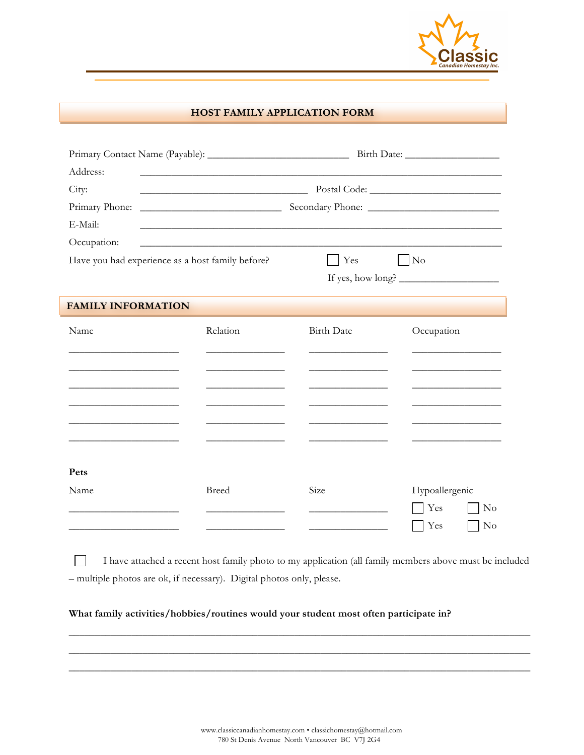

## **HOST FAMILY APPLICATION FORM**

| Address:                                         |                                                                                                                       |                   |                                                      |  |  |
|--------------------------------------------------|-----------------------------------------------------------------------------------------------------------------------|-------------------|------------------------------------------------------|--|--|
| City:                                            |                                                                                                                       |                   |                                                      |  |  |
| Primary Phone:                                   |                                                                                                                       |                   |                                                      |  |  |
| E-Mail:                                          |                                                                                                                       |                   |                                                      |  |  |
| Occupation:                                      | <u> 1989 - Johann Barn, mars ar breithinn ar chuid ann an t-Alban ann an t-Alban ann an t-Alban ann an t-Alban an</u> |                   |                                                      |  |  |
| Have you had experience as a host family before? |                                                                                                                       | Yes               | N <sub>o</sub>                                       |  |  |
|                                                  |                                                                                                                       |                   |                                                      |  |  |
| <b>FAMILY INFORMATION</b>                        |                                                                                                                       |                   |                                                      |  |  |
| Name                                             | Relation                                                                                                              | <b>Birth Date</b> | Occupation                                           |  |  |
| Pets<br>Name                                     | <b>Breed</b>                                                                                                          | Size              | Hypoallergenic<br>Yes<br>$\rm No$<br>Yes<br>$\rm No$ |  |  |

I have attached a recent host family photo to my application (all family members above must be included – multiple photos are ok, if necessary). Digital photos only, please.

\_\_\_\_\_\_\_\_\_\_\_\_\_\_\_\_\_\_\_\_\_\_\_\_\_\_\_\_\_\_\_\_\_\_\_\_\_\_\_\_\_\_\_\_\_\_\_\_\_\_\_\_\_\_\_\_\_\_\_\_\_\_\_\_\_\_\_\_\_\_\_\_\_\_\_\_\_\_\_\_\_\_\_\_\_\_\_\_ \_\_\_\_\_\_\_\_\_\_\_\_\_\_\_\_\_\_\_\_\_\_\_\_\_\_\_\_\_\_\_\_\_\_\_\_\_\_\_\_\_\_\_\_\_\_\_\_\_\_\_\_\_\_\_\_\_\_\_\_\_\_\_\_\_\_\_\_\_\_\_\_\_\_\_\_\_\_\_\_\_\_\_\_\_\_\_\_  $\_$  , and the set of the set of the set of the set of the set of the set of the set of the set of the set of the set of the set of the set of the set of the set of the set of the set of the set of the set of the set of th

## **What family activities/hobbies/routines would your student most often participate in?**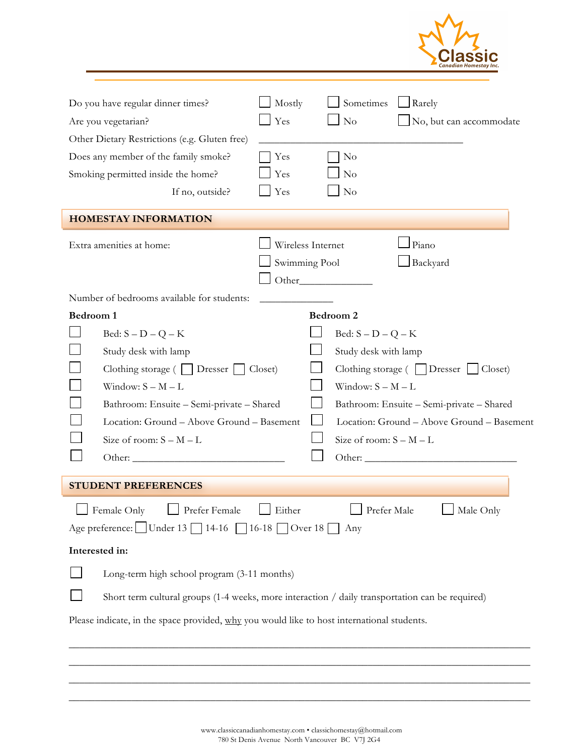| Do you have regular dinner times?<br>Are you vegetarian?<br>Other Dietary Restrictions (e.g. Gluten free)<br>Does any member of the family smoke?<br>Smoking permitted inside the home?<br>If no, outside?<br><b>HOMESTAY INFORMATION</b>                                                  | Mostly<br>Yes<br>Yes<br>Yes<br>Yes | Sometimes<br>No<br>N <sub>0</sub><br>No<br>N <sub>o</sub>                                                                                     | $\Box$ Rarely     | No, but can accommodate                                                                            |
|--------------------------------------------------------------------------------------------------------------------------------------------------------------------------------------------------------------------------------------------------------------------------------------------|------------------------------------|-----------------------------------------------------------------------------------------------------------------------------------------------|-------------------|----------------------------------------------------------------------------------------------------|
| Extra amenities at home:                                                                                                                                                                                                                                                                   | Wireless Internet<br>Swimming Pool |                                                                                                                                               | Piano<br>Backyard |                                                                                                    |
| Number of bedrooms available for students:<br>Bedroom 1<br>Bed: $S - D - Q - K$<br>Study desk with lamp<br>Clothing storage (     Dresser  <br>Window: $S - M - L$<br>Bathroom: Ensuite - Semi-private - Shared<br>Location: Ground - Above Ground - Basement<br>Size of room: $S - M - L$ | Closet)                            | Bedroom 2<br>Bed: $S - D - Q - K$<br>Study desk with lamp<br>Clothing storage (   Dresser<br>Window: $S - M - L$<br>Size of room: $S - M - L$ |                   | Closet)<br>Bathroom: Ensuite - Semi-private - Shared<br>Location: Ground - Above Ground - Basement |
| <b>STUDENT PREFERENCES</b>                                                                                                                                                                                                                                                                 |                                    |                                                                                                                                               |                   |                                                                                                    |
| Prefer Female<br>Female Only<br>Age preference: Under 13   14-16   16-18   Over 18                                                                                                                                                                                                         | Either                             | Prefer Male<br>Any                                                                                                                            |                   | Male Only                                                                                          |
| Interested in:<br>Long-term high school program (3-11 months)<br>Short term cultural groups (1-4 weeks, more interaction / daily transportation can be required)<br>Please indicate, in the space provided, why you would like to host international students.                             |                                    |                                                                                                                                               |                   |                                                                                                    |

\_\_\_\_\_\_\_\_\_\_\_\_\_\_\_\_\_\_\_\_\_\_\_\_\_\_\_\_\_\_\_\_\_\_\_\_\_\_\_\_\_\_\_\_\_\_\_\_\_\_\_\_\_\_\_\_\_\_\_\_\_\_\_\_\_\_\_\_\_\_\_\_\_\_\_\_\_\_\_\_\_\_\_\_\_\_\_\_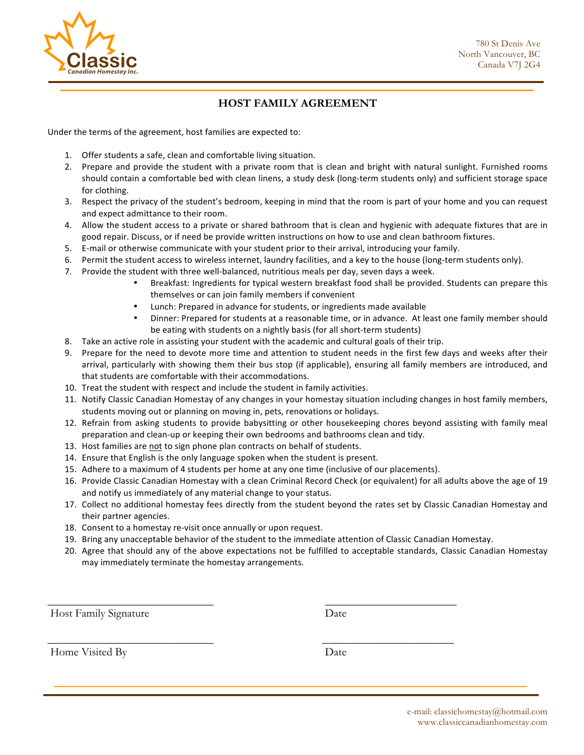

## **HOST FAMILY AGREEMENT**

Under the terms of the agreement, host families are expected to:

- 1. Offer students a safe, clean and comfortable living situation.
- 2. Prepare and provide the student with a private room that is clean and bright with natural sunlight. Furnished rooms should contain a comfortable bed with clean linens, a study desk (long-term students only) and sufficient storage space for clothing.
- 3. Respect the privacy of the student's bedroom, keeping in mind that the room is part of your home and you can request and expect admittance to their room.
- 4. Allow the student access to a private or shared bathroom that is clean and hygienic with adequate fixtures that are in good repair. Discuss, or if need be provide written instructions on how to use and clean bathroom fixtures.
- 5. E-mail or otherwise communicate with your student prior to their arrival, introducing your family.
- 6. Permit the student access to wireless internet, laundry facilities, and a key to the house (long-term students only).
- 7. Provide the student with three well-balanced, nutritious meals per day, seven days a week.
	- Breakfast: Ingredients for typical western breakfast food shall be provided. Students can prepare this themselves or can join family members if convenient
	- Lunch: Prepared in advance for students, or ingredients made available
	- Dinner: Prepared for students at a reasonable time, or in advance. At least one family member should be eating with students on a nightly basis (for all short-term students)
- 8. Take an active role in assisting your student with the academic and cultural goals of their trip.
- 9. Prepare for the need to devote more time and attention to student needs in the first few days and weeks after their arrival, particularly with showing them their bus stop (if applicable), ensuring all family members are introduced, and that students are comfortable with their accommodations.
- 10. Treat the student with respect and include the student in family activities.
- 11. Notify Classic Canadian Homestay of any changes in your homestay situation including changes in host family members, students moving out or planning on moving in, pets, renovations or holidays.
- 12. Refrain from asking students to provide babysitting or other housekeeping chores beyond assisting with family meal preparation and clean-up or keeping their own bedrooms and bathrooms clean and tidy.
- 13. Host families are not to sign phone plan contracts on behalf of students.
- 14. Ensure that English is the only language spoken when the student is present.
- 15. Adhere to a maximum of 4 students per home at any one time (inclusive of our placements).

 $\overline{\phantom{a}}$  , and the contract of the contract of the contract of the contract of the contract of the contract of the contract of the contract of the contract of the contract of the contract of the contract of the contrac

 $\overline{\phantom{a}}$  , and the contract of the contract of the contract of the contract of the contract of the contract of the contract of the contract of the contract of the contract of the contract of the contract of the contrac

- 16. Provide Classic Canadian Homestay with a clean Criminal Record Check (or equivalent) for all adults above the age of 19 and notify us immediately of any material change to your status.
- 17. Collect no additional homestay fees directly from the student beyond the rates set by Classic Canadian Homestay and their partner agencies.
- 18. Consent to a homestay re-visit once annually or upon request.
- 19. Bring any unacceptable behavior of the student to the immediate attention of Classic Canadian Homestay.
- 20. Agree that should any of the above expectations not be fulfilled to acceptable standards, Classic Canadian Homestay may immediately terminate the homestay arrangements.

Host Family Signature Date

Home Visited By Date